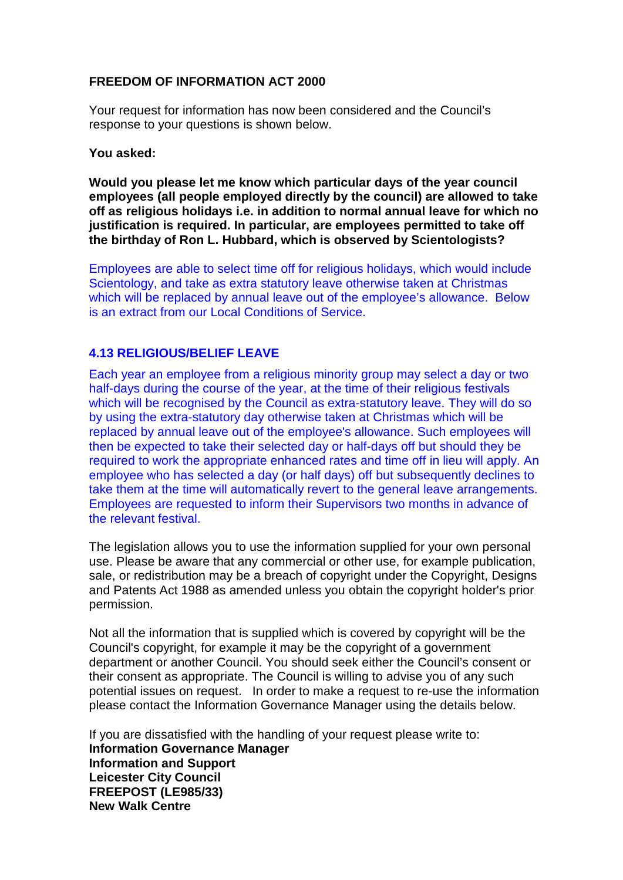## **FREEDOM OF INFORMATION ACT 2000**

Your request for information has now been considered and the Council's response to your questions is shown below.

## **You asked:**

**Would you please let me know which particular days of the year council employees (all people employed directly by the council) are allowed to take off as religious holidays i.e. in addition to normal annual leave for which no justification is required. In particular, are employees permitted to take off the birthday of Ron L. Hubbard, which is observed by Scientologists?**

Employees are able to select time off for religious holidays, which would include Scientology, and take as extra statutory leave otherwise taken at Christmas which will be replaced by annual leave out of the employee's allowance. Below is an extract from our Local Conditions of Service.

## **4.13 RELIGIOUS/BELIEF LEAVE**

Each year an employee from a religious minority group may select a day or two half-days during the course of the year, at the time of their religious festivals which will be recognised by the Council as extra-statutory leave. They will do so by using the extra-statutory day otherwise taken at Christmas which will be replaced by annual leave out of the employee's allowance. Such employees will then be expected to take their selected day or half-days off but should they be required to work the appropriate enhanced rates and time off in lieu will apply. An employee who has selected a day (or half days) off but subsequently declines to take them at the time will automatically revert to the general leave arrangements. Employees are requested to inform their Supervisors two months in advance of the relevant festival.

The legislation allows you to use the information supplied for your own personal use. Please be aware that any commercial or other use, for example publication, sale, or redistribution may be a breach of copyright under the Copyright, Designs and Patents Act 1988 as amended unless you obtain the copyright holder's prior permission.

Not all the information that is supplied which is covered by copyright will be the Council's copyright, for example it may be the copyright of a government department or another Council. You should seek either the Council's consent or their consent as appropriate. The Council is willing to advise you of any such potential issues on request. In order to make a request to re-use the information please contact the Information Governance Manager using the details below.

If you are dissatisfied with the handling of your request please write to: **Information Governance Manager Information and Support Leicester City Council FREEPOST (LE985/33) New Walk Centre**